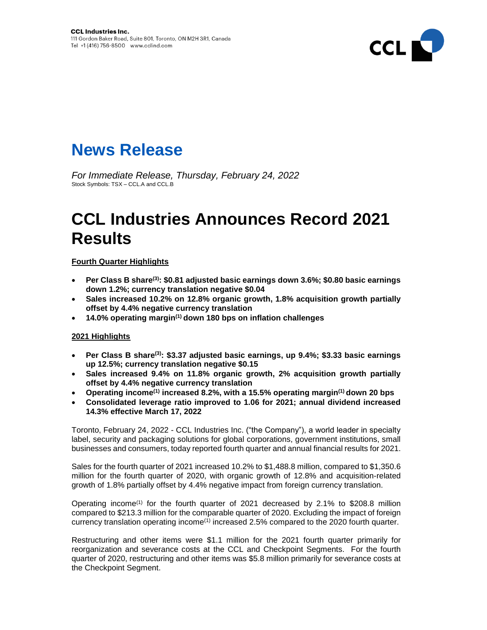

# **News Release**

*For Immediate Release, Thursday, February 24, 2022* Stock Symbols: TSX – CCL.A and CCL.B

# **CCL Industries Announces Record 2021 Results**

## **Fourth Quarter Highlights**

- **Per Class B share(3): \$0.81 adjusted basic earnings down 3.6%; \$0.80 basic earnings down 1.2%; currency translation negative \$0.04**
- **Sales increased 10.2% on 12.8% organic growth, 1.8% acquisition growth partially offset by 4.4% negative currency translation**
- **14.0% operating margin(1) down 180 bps on inflation challenges**

## **2021 Highlights**

- **Per Class B share(3): \$3.37 adjusted basic earnings, up 9.4%; \$3.33 basic earnings up 12.5%; currency translation negative \$0.15**
- **Sales increased 9.4% on 11.8% organic growth, 2% acquisition growth partially offset by 4.4% negative currency translation**
- **Operating income(1) increased 8.2%, with a 15.5% operating margin(1) down 20 bps**
- **Consolidated leverage ratio improved to 1.06 for 2021; annual dividend increased 14.3% effective March 17, 2022**

Toronto, February 24, 2022 - CCL Industries Inc. ("the Company"), a world leader in specialty label, security and packaging solutions for global corporations, government institutions, small businesses and consumers, today reported fourth quarter and annual financial results for 2021.

Sales for the fourth quarter of 2021 increased 10.2% to \$1,488.8 million, compared to \$1,350.6 million for the fourth quarter of 2020, with organic growth of 12.8% and acquisition-related growth of 1.8% partially offset by 4.4% negative impact from foreign currency translation.

Operating income<sup>(1)</sup> for the fourth quarter of 2021 decreased by 2.1% to \$208.8 million compared to \$213.3 million for the comparable quarter of 2020. Excluding the impact of foreign currency translation operating income<sup>(1)</sup> increased 2.5% compared to the 2020 fourth quarter.

Restructuring and other items were \$1.1 million for the 2021 fourth quarter primarily for reorganization and severance costs at the CCL and Checkpoint Segments. For the fourth quarter of 2020, restructuring and other items was \$5.8 million primarily for severance costs at the Checkpoint Segment.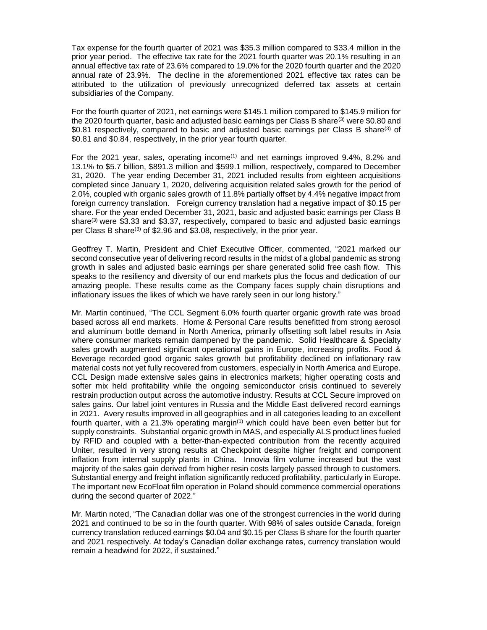Tax expense for the fourth quarter of 2021 was \$35.3 million compared to \$33.4 million in the prior year period. The effective tax rate for the 2021 fourth quarter was 20.1% resulting in an annual effective tax rate of 23.6% compared to 19.0% for the 2020 fourth quarter and the 2020 annual rate of 23.9%. The decline in the aforementioned 2021 effective tax rates can be attributed to the utilization of previously unrecognized deferred tax assets at certain subsidiaries of the Company.

For the fourth quarter of 2021, net earnings were \$145.1 million compared to \$145.9 million for the 2020 fourth quarter, basic and adjusted basic earnings per Class B share<sup>(3)</sup> were \$0.80 and \$0.81 respectively, compared to basic and adjusted basic earnings per Class B share<sup>(3)</sup> of \$0.81 and \$0.84, respectively, in the prior year fourth quarter.

For the 2021 year, sales, operating income<sup> $(1)$ </sup> and net earnings improved  $9.4\%$ ,  $8.2\%$  and 13.1% to \$5.7 billion, \$891.3 million and \$599.1 million, respectively, compared to December 31, 2020. The year ending December 31, 2021 included results from eighteen acquisitions completed since January 1, 2020, delivering acquisition related sales growth for the period of 2.0%, coupled with organic sales growth of 11.8% partially offset by 4.4% negative impact from foreign currency translation. Foreign currency translation had a negative impact of \$0.15 per share. For the year ended December 31, 2021, basic and adjusted basic earnings per Class B share<sup>(3)</sup> were \$3.33 and \$3.37, respectively, compared to basic and adjusted basic earnings per Class B share(3) of \$2.96 and \$3.08, respectively, in the prior year.

Geoffrey T. Martin, President and Chief Executive Officer, commented, "2021 marked our second consecutive year of delivering record results in the midst of a global pandemic as strong growth in sales and adjusted basic earnings per share generated solid free cash flow. This speaks to the resiliency and diversity of our end markets plus the focus and dedication of our amazing people. These results come as the Company faces supply chain disruptions and inflationary issues the likes of which we have rarely seen in our long history."

Mr. Martin continued, "The CCL Segment 6.0% fourth quarter organic growth rate was broad based across all end markets. Home & Personal Care results benefitted from strong aerosol and aluminum bottle demand in North America, primarily offsetting soft label results in Asia where consumer markets remain dampened by the pandemic. Solid Healthcare & Specialty sales growth augmented significant operational gains in Europe, increasing profits. Food & Beverage recorded good organic sales growth but profitability declined on inflationary raw material costs not yet fully recovered from customers, especially in North America and Europe. CCL Design made extensive sales gains in electronics markets; higher operating costs and softer mix held profitability while the ongoing semiconductor crisis continued to severely restrain production output across the automotive industry. Results at CCL Secure improved on sales gains. Our label joint ventures in Russia and the Middle East delivered record earnings in 2021. Avery results improved in all geographies and in all categories leading to an excellent fourth quarter, with a 21.3% operating margin<sup>(1)</sup> which could have been even better but for supply constraints. Substantial organic growth in MAS, and especially ALS product lines fueled by RFID and coupled with a better-than-expected contribution from the recently acquired Uniter, resulted in very strong results at Checkpoint despite higher freight and component inflation from internal supply plants in China. Innovia film volume increased but the vast majority of the sales gain derived from higher resin costs largely passed through to customers. Substantial energy and freight inflation significantly reduced profitability, particularly in Europe. The important new EcoFloat film operation in Poland should commence commercial operations during the second quarter of 2022."

Mr. Martin noted, "The Canadian dollar was one of the strongest currencies in the world during 2021 and continued to be so in the fourth quarter. With 98% of sales outside Canada, foreign currency translation reduced earnings \$0.04 and \$0.15 per Class B share for the fourth quarter and 2021 respectively. At today's Canadian dollar exchange rates, currency translation would remain a headwind for 2022, if sustained."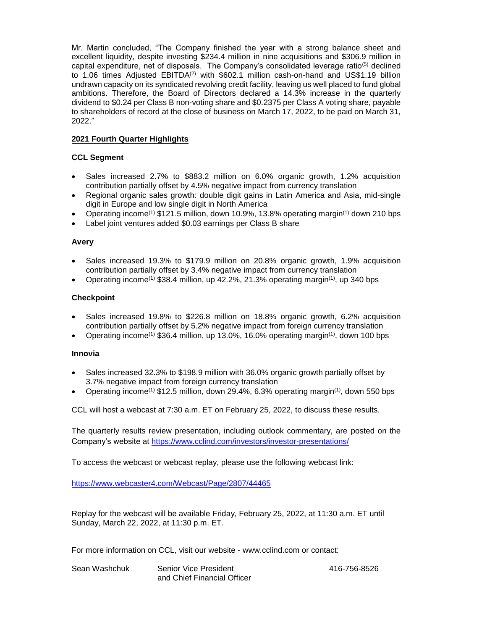Mr. Martin concluded, "The Company finished the year with a strong balance sheet and excellent liquidity, despite investing \$234.4 million in nine acquisitions and \$306.9 million in capital expenditure, net of disposals. The Company's consolidated leverage ratio<sup>(5)</sup> declined to 1.06 times Adjusted EBITDA<sup>(2)</sup> with \$602.1 million cash-on-hand and US\$1.19 billion undrawn capacity on its syndicated revolving credit facility, leaving us well placed to fund global ambitions. Therefore, the Board of Directors declared a 14.3% increase in the quarterly dividend to \$0.24 per Class B non-voting share and \$0.2375 per Class A voting share, payable to shareholders of record at the close of business on March 17, 2022, to be paid on March 31, 2022."

### **2021 Fourth Quarter Highlights**

### **CCL Segment**

- Sales increased 2.7% to \$883.2 million on 6.0% organic growth, 1.2% acquisition contribution partially offset by 4.5% negative impact from currency translation
- Regional organic sales growth: double digit gains in Latin America and Asia, mid-single digit in Europe and low single digit in North America
- Operating income<sup>(1)</sup> \$121.5 million, down 10.9%, 13.8% operating margin<sup>(1)</sup> down 210 bps
- Label joint ventures added \$0.03 earnings per Class B share

### **Avery**

- Sales increased 19.3% to \$179.9 million on 20.8% organic growth, 1.9% acquisition contribution partially offset by 3.4% negative impact from currency translation
- Operating income<sup>(1)</sup> \$38.4 million, up 42.2%, 21.3% operating margin<sup>(1)</sup>, up 340 bps

### **Checkpoint**

- Sales increased 19.8% to \$226.8 million on 18.8% organic growth, 6.2% acquisition contribution partially offset by 5.2% negative impact from foreign currency translation
- Operating income<sup>(1)</sup> \$36.4 million, up 13.0%, 16.0% operating margin<sup>(1)</sup>, down 100 bps

### **Innovia**

- Sales increased 32.3% to \$198.9 million with 36.0% organic growth partially offset by 3.7% negative impact from foreign currency translation
- Operating income<sup>(1)</sup> \$12.5 million, down 29.4%, 6.3% operating margin<sup>(1)</sup>, down 550 bps

CCL will host a webcast at 7:30 a.m. ET on February 25, 2022, to discuss these results.

The quarterly results review presentation, including outlook commentary, are posted on the Company's website at<https://www.cclind.com/investors/investor-presentations/>

To access the webcast or webcast replay, please use the following webcast link:

[https://www.webcaster4.com/Webcast/Page/2807/44465](https://urldefense.proofpoint.com/v2/url?u=https-3A__www.webcaster4.com_Webcast_Page_2807_44465&d=DwMFAg&c=i8WcYkdtj-Ms2X3_u4G0PQ&r=wckaha-oQPSiBvr0gWf1bBVzbP3MkMVSnUNHmjpfgnA&m=xG8gERLNC-ZbIue9ynwB2NxdCEbXb0Qns46ZENdTEaxM_Y6pABg4eOcN0T6IrqeI&s=fPiqZsUkp78v2Rg7osOlWffRvwGVyY3Vgplr1KZtaAQ&e=)

Replay for the webcast will be available Friday, February 25, 2022, at 11:30 a.m. ET until Sunday, March 22, 2022, at 11:30 p.m. ET.

For more information on CCL, visit our website - [www.cclind.com](http://www.cclind.com/) or contact:

| Sean Washchuk | <b>Senior Vice President</b> |
|---------------|------------------------------|
|               | and Chief Financial Officer  |

416-756-8526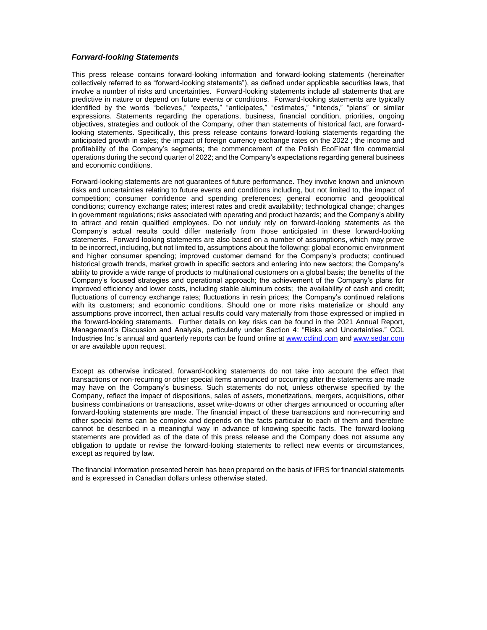#### *Forward-looking Statements*

This press release contains forward-looking information and forward-looking statements (hereinafter collectively referred to as "forward-looking statements"), as defined under applicable securities laws, that involve a number of risks and uncertainties. Forward-looking statements include all statements that are predictive in nature or depend on future events or conditions. Forward-looking statements are typically identified by the words "believes," "expects," "anticipates," "estimates," "intends," "plans" or similar expressions. Statements regarding the operations, business, financial condition, priorities, ongoing objectives, strategies and outlook of the Company, other than statements of historical fact, are forwardlooking statements. Specifically, this press release contains forward-looking statements regarding the anticipated growth in sales; the impact of foreign currency exchange rates on the 2022 ; the income and profitability of the Company's segments; the commencement of the Polish EcoFloat film commercial operations during the second quarter of 2022; and the Company's expectations regarding general business and economic conditions.

Forward-looking statements are not guarantees of future performance. They involve known and unknown risks and uncertainties relating to future events and conditions including, but not limited to, the impact of competition; consumer confidence and spending preferences; general economic and geopolitical conditions; currency exchange rates; interest rates and credit availability; technological change; changes in government regulations; risks associated with operating and product hazards; and the Company's ability to attract and retain qualified employees. Do not unduly rely on forward-looking statements as the Company's actual results could differ materially from those anticipated in these forward-looking statements. Forward-looking statements are also based on a number of assumptions, which may prove to be incorrect, including, but not limited to, assumptions about the following: global economic environment and higher consumer spending; improved customer demand for the Company's products; continued historical growth trends, market growth in specific sectors and entering into new sectors; the Company's ability to provide a wide range of products to multinational customers on a global basis; the benefits of the Company's focused strategies and operational approach; the achievement of the Company's plans for improved efficiency and lower costs, including stable aluminum costs; the availability of cash and credit; fluctuations of currency exchange rates; fluctuations in resin prices; the Company's continued relations with its customers; and economic conditions. Should one or more risks materialize or should any assumptions prove incorrect, then actual results could vary materially from those expressed or implied in the forward-looking statements. Further details on key risks can be found in the 2021 Annual Report, Management's Discussion and Analysis, particularly under Section 4: "Risks and Uncertainties." CCL Industries Inc.'s annual and quarterly reports can be found online at [www.cclind.com](http://www.cclind.com/) an[d www.sedar.com](http://www.sedar.com/) or are available upon request.

Except as otherwise indicated, forward-looking statements do not take into account the effect that transactions or non-recurring or other special items announced or occurring after the statements are made may have on the Company's business. Such statements do not, unless otherwise specified by the Company, reflect the impact of dispositions, sales of assets, monetizations, mergers, acquisitions, other business combinations or transactions, asset write-downs or other charges announced or occurring after forward-looking statements are made. The financial impact of these transactions and non-recurring and other special items can be complex and depends on the facts particular to each of them and therefore cannot be described in a meaningful way in advance of knowing specific facts. The forward-looking statements are provided as of the date of this press release and the Company does not assume any obligation to update or revise the forward-looking statements to reflect new events or circumstances, except as required by law.

The financial information presented herein has been prepared on the basis of IFRS for financial statements and is expressed in Canadian dollars unless otherwise stated.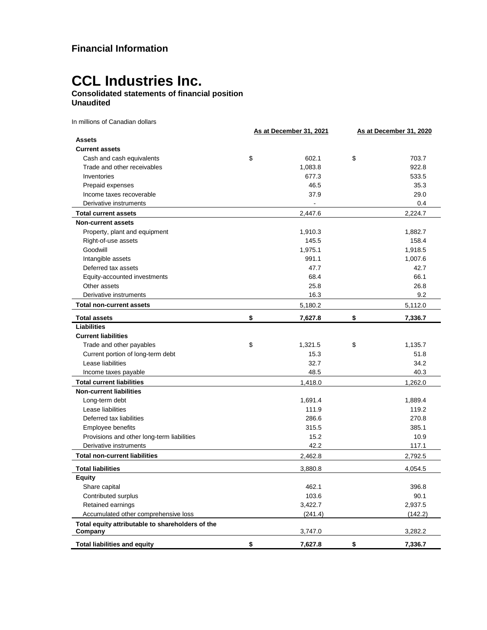## **Consolidated statements of financial position Unaudited**

In millions of Canadian dollars

|                                                             | As at December 31, 2021 | As at December 31, 2020 |
|-------------------------------------------------------------|-------------------------|-------------------------|
| <b>Assets</b>                                               |                         |                         |
| <b>Current assets</b>                                       |                         |                         |
| Cash and cash equivalents                                   | \$<br>602.1             | \$<br>703.7             |
| Trade and other receivables                                 | 1,083.8                 | 922.8                   |
| Inventories                                                 | 677.3                   | 533.5                   |
| Prepaid expenses                                            | 46.5                    | 35.3                    |
| Income taxes recoverable                                    | 37.9                    | 29.0                    |
| Derivative instruments                                      | $\overline{a}$          | 0.4                     |
| <b>Total current assets</b>                                 | 2,447.6                 | 2,224.7                 |
| <b>Non-current assets</b>                                   |                         |                         |
| Property, plant and equipment                               | 1,910.3                 | 1,882.7                 |
| Right-of-use assets                                         | 145.5                   | 158.4                   |
| Goodwill                                                    | 1,975.1                 | 1,918.5                 |
| Intangible assets                                           | 991.1                   | 1,007.6                 |
| Deferred tax assets                                         | 47.7                    | 42.7                    |
| Equity-accounted investments                                | 68.4                    | 66.1                    |
| Other assets                                                | 25.8                    | 26.8                    |
| Derivative instruments                                      | 16.3                    | 9.2                     |
| <b>Total non-current assets</b>                             | 5,180.2                 | 5,112.0                 |
| <b>Total assets</b>                                         | \$<br>7,627.8           | \$<br>7,336.7           |
| <b>Liabilities</b>                                          |                         |                         |
| <b>Current liabilities</b>                                  |                         |                         |
| Trade and other payables                                    | \$<br>1,321.5           | \$<br>1,135.7           |
| Current portion of long-term debt                           | 15.3                    | 51.8                    |
| Lease liabilities                                           | 32.7                    | 34.2                    |
| Income taxes payable                                        | 48.5                    | 40.3                    |
| <b>Total current liabilities</b>                            | 1,418.0                 | 1,262.0                 |
| <b>Non-current liabilities</b>                              |                         |                         |
| Long-term debt                                              | 1,691.4                 | 1,889.4                 |
| Lease liabilities                                           | 111.9                   | 119.2                   |
| Deferred tax liabilities                                    | 286.6                   | 270.8                   |
| Employee benefits                                           | 315.5                   | 385.1                   |
| Provisions and other long-term liabilities                  | 15.2                    | 10.9                    |
| Derivative instruments                                      | 42.2                    | 117.1                   |
| <b>Total non-current liabilities</b>                        | 2,462.8                 | 2,792.5                 |
| <b>Total liabilities</b>                                    | 3,880.8                 | 4,054.5                 |
| <b>Equity</b>                                               |                         |                         |
| Share capital                                               | 462.1                   | 396.8                   |
| Contributed surplus                                         | 103.6                   | 90.1                    |
| Retained earnings                                           | 3,422.7                 | 2,937.5                 |
| Accumulated other comprehensive loss                        | (241.4)                 | (142.2)                 |
| Total equity attributable to shareholders of the<br>Company | 3,747.0                 | 3,282.2                 |
|                                                             |                         |                         |
| <b>Total liabilities and equity</b>                         | \$<br>7,627.8           | \$<br>7,336.7           |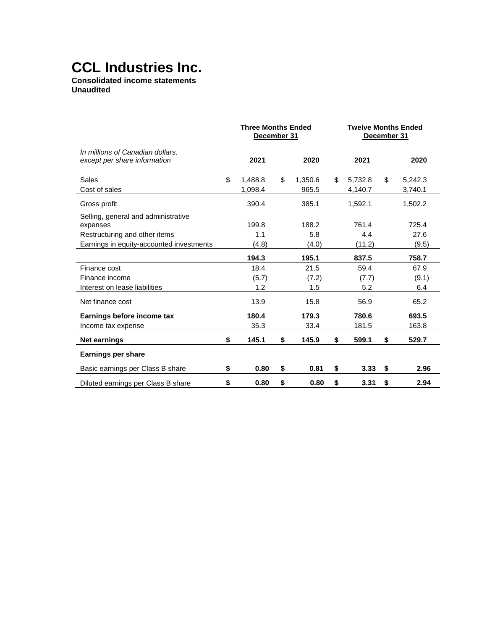**Consolidated income statements Unaudited**

|                                                                  | <b>Three Months Ended</b><br>December 31 |               | <b>Twelve Months Ended</b><br>December 31 |         |    |         |  |  |
|------------------------------------------------------------------|------------------------------------------|---------------|-------------------------------------------|---------|----|---------|--|--|
| In millions of Canadian dollars.<br>except per share information | 2021                                     | 2020          |                                           | 2021    |    | 2020    |  |  |
| Sales                                                            | \$<br>1,488.8                            | \$<br>1,350.6 | \$                                        | 5.732.8 | \$ | 5,242.3 |  |  |
| Cost of sales                                                    | 1,098.4                                  | 965.5         |                                           | 4,140.7 |    | 3,740.1 |  |  |
| Gross profit                                                     | 390.4                                    | 385.1         |                                           | 1,592.1 |    | 1,502.2 |  |  |
| Selling, general and administrative                              |                                          |               |                                           |         |    |         |  |  |
| expenses                                                         | 199.8                                    | 188.2         |                                           | 761.4   |    | 725.4   |  |  |
| Restructuring and other items                                    | 1.1                                      | 5.8           |                                           | 4.4     |    | 27.6    |  |  |
| Earnings in equity-accounted investments                         | (4.8)                                    | (4.0)         |                                           | (11.2)  |    | (9.5)   |  |  |
|                                                                  | 194.3                                    | 195.1         |                                           | 837.5   |    | 758.7   |  |  |
| Finance cost                                                     | 18.4                                     | 21.5          |                                           | 59.4    |    | 67.9    |  |  |
| Finance income                                                   | (5.7)                                    | (7.2)         |                                           | (7.7)   |    | (9.1)   |  |  |
| Interest on lease liabilities                                    | 1.2                                      | 1.5           |                                           | 5.2     |    | 6.4     |  |  |
| Net finance cost                                                 | 13.9                                     | 15.8          |                                           | 56.9    |    | 65.2    |  |  |
| Earnings before income tax                                       | 180.4                                    | 179.3         |                                           | 780.6   |    | 693.5   |  |  |
| Income tax expense                                               | 35.3                                     | 33.4          |                                           | 181.5   |    | 163.8   |  |  |
| <b>Net earnings</b>                                              | \$<br>145.1                              | \$<br>145.9   | \$                                        | 599.1   | \$ | 529.7   |  |  |
| <b>Earnings per share</b>                                        |                                          |               |                                           |         |    |         |  |  |
| Basic earnings per Class B share                                 | \$<br>0.80                               | \$<br>0.81    | \$                                        | 3.33    | \$ | 2.96    |  |  |
| Diluted earnings per Class B share                               | \$<br>0.80                               | \$<br>0.80    | \$                                        | 3.31    | \$ | 2.94    |  |  |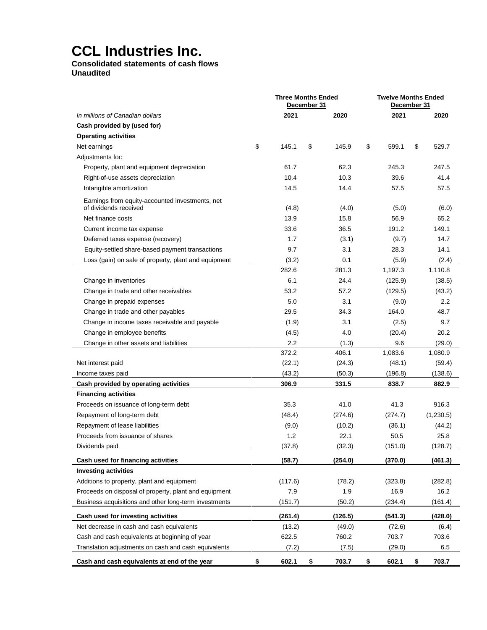## **Consolidated statements of cash flows Unaudited**

|                                                                          | <b>Three Months Ended</b><br>December 31 |         |    |         |    | <b>Twelve Months Ended</b><br>December 31 |    |           |  |
|--------------------------------------------------------------------------|------------------------------------------|---------|----|---------|----|-------------------------------------------|----|-----------|--|
| In millions of Canadian dollars                                          |                                          | 2021    |    | 2020    |    | 2021                                      |    | 2020      |  |
| Cash provided by (used for)                                              |                                          |         |    |         |    |                                           |    |           |  |
| <b>Operating activities</b>                                              |                                          |         |    |         |    |                                           |    |           |  |
| Net earnings                                                             | \$                                       | 145.1   | \$ | 145.9   | \$ | 599.1                                     | \$ | 529.7     |  |
| Adjustments for:                                                         |                                          |         |    |         |    |                                           |    |           |  |
| Property, plant and equipment depreciation                               |                                          | 61.7    |    | 62.3    |    | 245.3                                     |    | 247.5     |  |
| Right-of-use assets depreciation                                         |                                          | 10.4    |    | 10.3    |    | 39.6                                      |    | 41.4      |  |
| Intangible amortization                                                  |                                          | 14.5    |    | 14.4    |    | 57.5                                      |    | 57.5      |  |
| Earnings from equity-accounted investments, net<br>of dividends received |                                          | (4.8)   |    | (4.0)   |    | (5.0)                                     |    | (6.0)     |  |
| Net finance costs                                                        |                                          | 13.9    |    | 15.8    |    | 56.9                                      |    | 65.2      |  |
| Current income tax expense                                               |                                          | 33.6    |    | 36.5    |    | 191.2                                     |    | 149.1     |  |
| Deferred taxes expense (recovery)                                        |                                          | 1.7     |    | (3.1)   |    | (9.7)                                     |    | 14.7      |  |
| Equity-settled share-based payment transactions                          |                                          | 9.7     |    | 3.1     |    | 28.3                                      |    | 14.1      |  |
| Loss (gain) on sale of property, plant and equipment                     |                                          | (3.2)   |    | 0.1     |    | (5.9)                                     |    | (2.4)     |  |
|                                                                          |                                          | 282.6   |    | 281.3   |    | 1,197.3                                   |    | 1,110.8   |  |
| Change in inventories                                                    |                                          | 6.1     |    | 24.4    |    | (125.9)                                   |    | (38.5)    |  |
| Change in trade and other receivables                                    |                                          | 53.2    |    | 57.2    |    | (129.5)                                   |    | (43.2)    |  |
| Change in prepaid expenses                                               |                                          | 5.0     |    | 3.1     |    | (9.0)                                     |    | 2.2       |  |
| Change in trade and other payables                                       |                                          | 29.5    |    | 34.3    |    | 164.0                                     |    | 48.7      |  |
| Change in income taxes receivable and payable                            |                                          | (1.9)   |    | 3.1     |    | (2.5)                                     |    | 9.7       |  |
| Change in employee benefits                                              |                                          | (4.5)   |    | 4.0     |    | (20.4)                                    |    | 20.2      |  |
| Change in other assets and liabilities                                   |                                          | 2.2     |    | (1.3)   |    | 9.6                                       |    | (29.0)    |  |
|                                                                          |                                          | 372.2   |    | 406.1   |    | 1,083.6                                   |    | 1,080.9   |  |
| Net interest paid                                                        |                                          | (22.1)  |    | (24.3)  |    | (48.1)                                    |    | (59.4)    |  |
| Income taxes paid                                                        |                                          | (43.2)  |    | (50.3)  |    | (196.8)                                   |    | (138.6)   |  |
| Cash provided by operating activities                                    |                                          | 306.9   |    | 331.5   |    | 838.7                                     |    | 882.9     |  |
| <b>Financing activities</b>                                              |                                          |         |    |         |    |                                           |    |           |  |
| Proceeds on issuance of long-term debt                                   |                                          | 35.3    |    | 41.0    |    | 41.3                                      |    | 916.3     |  |
| Repayment of long-term debt                                              |                                          | (48.4)  |    | (274.6) |    | (274.7)                                   |    | (1,230.5) |  |
| Repayment of lease liabilities                                           |                                          | (9.0)   |    | (10.2)  |    | (36.1)                                    |    | (44.2)    |  |
| Proceeds from issuance of shares                                         |                                          | 1.2     |    | 22.1    |    | 50.5                                      |    | 25.8      |  |
| Dividends paid                                                           |                                          | (37.8)  |    | (32.3)  |    | (151.0)                                   |    | (128.7)   |  |
| Cash used for financing activities                                       |                                          | (58.7)  |    | (254.0) |    | (370.0)                                   |    | (461.3)   |  |
| <b>Investing activities</b>                                              |                                          |         |    |         |    |                                           |    |           |  |
| Additions to property, plant and equipment                               |                                          | (117.6) |    | (78.2)  |    | (323.8)                                   |    | (282.8)   |  |
| Proceeds on disposal of property, plant and equipment                    |                                          | 7.9     |    | 1.9     |    | 16.9                                      |    | 16.2      |  |
| Business acquisitions and other long-term investments                    |                                          | (151.7) |    | (50.2)  |    | (234.4)                                   |    | (161.4)   |  |
| Cash used for investing activities                                       |                                          | (261.4) |    | (126.5) |    | (541.3)                                   |    | (428.0)   |  |
| Net decrease in cash and cash equivalents                                |                                          | (13.2)  |    | (49.0)  |    | (72.6)                                    |    | (6.4)     |  |
| Cash and cash equivalents at beginning of year                           |                                          | 622.5   |    | 760.2   |    | 703.7                                     |    | 703.6     |  |
| Translation adjustments on cash and cash equivalents                     |                                          | (7.2)   |    | (7.5)   |    | (29.0)                                    |    | 6.5       |  |
| Cash and cash equivalents at end of the year                             | \$                                       | 602.1   | \$ | 703.7   | \$ | 602.1                                     | \$ | 703.7     |  |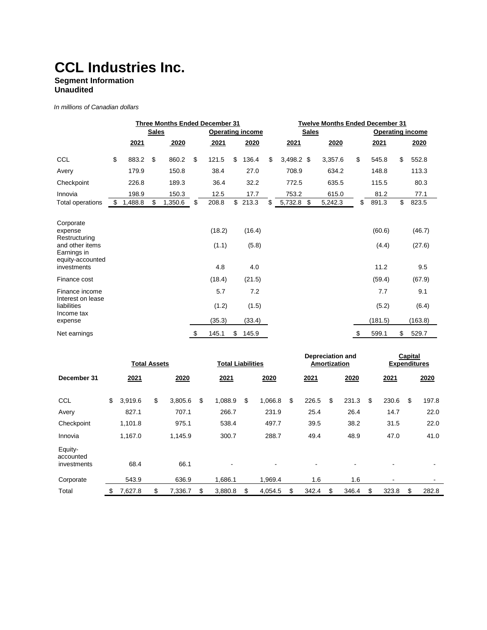## **Segment Information**

**Unaudited**

*In millions of Canadian dollars* 

|                                                                                                            | <b>Three Months Ended December 31</b> |         |                                         |         |    |                        |    |                        | <b>Twelve Months Ended December 31</b> |                         |         |    |                         |    |                         |  |
|------------------------------------------------------------------------------------------------------------|---------------------------------------|---------|-----------------------------------------|---------|----|------------------------|----|------------------------|----------------------------------------|-------------------------|---------|----|-------------------------|----|-------------------------|--|
|                                                                                                            |                                       |         | <b>Sales</b><br><b>Operating income</b> |         |    |                        |    |                        | <b>Sales</b>                           | <b>Operating income</b> |         |    |                         |    |                         |  |
|                                                                                                            |                                       | 2021    |                                         | 2020    |    | 2021                   |    | 2020                   |                                        | <b>2021</b>             | 2020    |    | 2021                    |    | 2020                    |  |
| <b>CCL</b>                                                                                                 | \$                                    | 883.2   | \$                                      | 860.2   | \$ | 121.5                  | \$ | 136.4                  | \$                                     | $3,498.2$ \$            | 3,357.6 | \$ | 545.8                   | \$ | 552.8                   |  |
| Avery                                                                                                      |                                       | 179.9   |                                         | 150.8   |    | 38.4                   |    | 27.0                   |                                        | 708.9                   | 634.2   |    | 148.8                   |    | 113.3                   |  |
| Checkpoint                                                                                                 |                                       | 226.8   |                                         | 189.3   |    | 36.4                   |    | 32.2                   |                                        | 772.5                   | 635.5   |    | 115.5                   |    | 80.3                    |  |
| Innovia                                                                                                    |                                       | 198.9   |                                         | 150.3   |    | 12.5                   |    | 17.7                   |                                        | 753.2                   | 615.0   |    | 81.2                    |    | 77.1                    |  |
| Total operations                                                                                           | \$.                                   | 1,488.8 | \$                                      | 1,350.6 | \$ | 208.8                  | \$ | 213.3                  | \$                                     | 5,732.8<br>-\$          | 5,242.3 | \$ | 891.3                   | \$ | 823.5                   |  |
| Corporate<br>expense<br>Restructuring<br>and other items<br>Earnings in<br>equity-accounted<br>investments |                                       |         |                                         |         |    | (18.2)<br>(1.1)<br>4.8 |    | (16.4)<br>(5.8)<br>4.0 |                                        |                         |         |    | (60.6)<br>(4.4)<br>11.2 |    | (46.7)<br>(27.6)<br>9.5 |  |
| Finance cost                                                                                               |                                       |         |                                         |         |    | (18.4)                 |    | (21.5)                 |                                        |                         |         |    | (59.4)                  |    | (67.9)                  |  |
| Finance income<br>Interest on lease<br>liabilities                                                         |                                       |         |                                         |         |    | 5.7<br>(1.2)           |    | 7.2<br>(1.5)           |                                        |                         |         |    | 7.7<br>(5.2)            |    | 9.1<br>(6.4)            |  |
| Income tax<br>expense                                                                                      |                                       |         |                                         |         |    | (35.3)                 |    | (33.4)                 |                                        |                         |         |    | (181.5)                 |    | (163.8)                 |  |
| Net earnings                                                                                               |                                       |         |                                         |         | \$ | 145.1                  | \$ | 145.9                  |                                        |                         |         | \$ | 599.1                   | \$ | 529.7                   |  |

|                                     | <b>Total Assets</b> |         |    |         | <b>Total Liabilities</b> |    |         |    | <b>Depreciation and</b><br>Amortization |    |       |    | Capital<br><b>Expenditures</b> |    |       |
|-------------------------------------|---------------------|---------|----|---------|--------------------------|----|---------|----|-----------------------------------------|----|-------|----|--------------------------------|----|-------|
| December 31                         |                     | 2021    |    | 2020    | 2021                     |    | 2020    |    | 2021                                    |    | 2020  |    | 2021                           |    | 2020  |
| CCL                                 | \$                  | 3,919.6 | \$ | 3,805.6 | \$<br>1,088.9            | \$ | 1,066.8 | \$ | 226.5                                   | \$ | 231.3 | \$ | 230.6                          | \$ | 197.8 |
| Avery                               |                     | 827.1   |    | 707.1   | 266.7                    |    | 231.9   |    | 25.4                                    |    | 26.4  |    | 14.7                           |    | 22.0  |
| Checkpoint                          |                     | 1,101.8 |    | 975.1   | 538.4                    |    | 497.7   |    | 39.5                                    |    | 38.2  |    | 31.5                           |    | 22.0  |
| Innovia                             |                     | 1,167.0 |    | 1,145.9 | 300.7                    |    | 288.7   |    | 49.4                                    |    | 48.9  |    | 47.0                           |    | 41.0  |
| Equity-<br>accounted<br>investments |                     | 68.4    |    | 66.1    |                          |    |         |    |                                         |    |       |    |                                |    |       |
| Corporate                           |                     | 543.9   |    | 636.9   | 1.686.1                  |    | 1.969.4 |    | 1.6                                     |    | 1.6   |    | ٠                              |    |       |
| Total                               | \$                  | 7,627.8 | \$ | 7.336.7 | \$<br>3.880.8            | \$ | 4,054.5 | \$ | 342.4                                   | \$ | 346.4 | \$ | 323.8                          | \$ | 282.8 |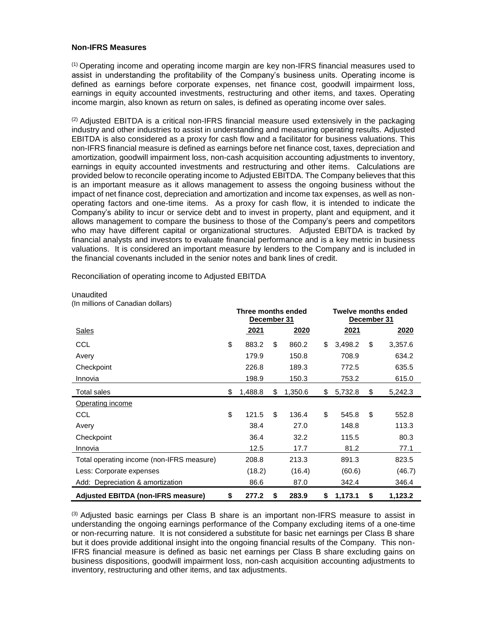### **Non-IFRS Measures**

(1) Operating income and operating income margin are key non-IFRS financial measures used to assist in understanding the profitability of the Company's business units. Operating income is defined as earnings before corporate expenses, net finance cost, goodwill impairment loss, earnings in equity accounted investments, restructuring and other items, and taxes. Operating income margin, also known as return on sales, is defined as operating income over sales.

 $<sup>(2)</sup>$  Adjusted EBITDA is a critical non-IFRS financial measure used extensively in the packaging</sup> industry and other industries to assist in understanding and measuring operating results. Adjusted EBITDA is also considered as a proxy for cash flow and a facilitator for business valuations. This non-IFRS financial measure is defined as earnings before net finance cost, taxes, depreciation and amortization, goodwill impairment loss, non-cash acquisition accounting adjustments to inventory, earnings in equity accounted investments and restructuring and other items. Calculations are provided below to reconcile operating income to Adjusted EBITDA. The Company believes that this is an important measure as it allows management to assess the ongoing business without the impact of net finance cost, depreciation and amortization and income tax expenses, as well as nonoperating factors and one-time items. As a proxy for cash flow, it is intended to indicate the Company's ability to incur or service debt and to invest in property, plant and equipment, and it allows management to compare the business to those of the Company's peers and competitors who may have different capital or organizational structures. Adjusted EBITDA is tracked by financial analysts and investors to evaluate financial performance and is a key metric in business valuations. It is considered an important measure by lenders to the Company and is included in the financial covenants included in the senior notes and bank lines of credit.

|                                           | Three months ended<br>December 31 |         |    |         |    | <b>Twelve months ended</b><br>December 31 |    |         |  |  |
|-------------------------------------------|-----------------------------------|---------|----|---------|----|-------------------------------------------|----|---------|--|--|
| <b>Sales</b>                              |                                   | 2021    |    | 2020    |    | 2021                                      |    | 2020    |  |  |
| CCL                                       | \$                                | 883.2   | \$ | 860.2   | \$ | 3,498.2                                   | \$ | 3,357.6 |  |  |
| Avery                                     |                                   | 179.9   |    | 150.8   |    | 708.9                                     |    | 634.2   |  |  |
| Checkpoint                                |                                   | 226.8   |    | 189.3   |    | 772.5                                     |    | 635.5   |  |  |
| Innovia                                   |                                   | 198.9   |    | 150.3   |    | 753.2                                     |    | 615.0   |  |  |
| Total sales                               | \$                                | 1,488.8 | \$ | 1,350.6 | \$ | 5,732.8                                   | \$ | 5,242.3 |  |  |
| Operating income                          |                                   |         |    |         |    |                                           |    |         |  |  |
| CCL                                       | \$                                | 121.5   | \$ | 136.4   | \$ | 545.8                                     | \$ | 552.8   |  |  |
| Avery                                     |                                   | 38.4    |    | 27.0    |    | 148.8                                     |    | 113.3   |  |  |
| Checkpoint                                |                                   | 36.4    |    | 32.2    |    | 115.5                                     |    | 80.3    |  |  |
| Innovia                                   |                                   | 12.5    |    | 17.7    |    | 81.2                                      |    | 77.1    |  |  |
| Total operating income (non-IFRS measure) |                                   | 208.8   |    | 213.3   |    | 891.3                                     |    | 823.5   |  |  |
| Less: Corporate expenses                  |                                   | (18.2)  |    | (16.4)  |    | (60.6)                                    |    | (46.7)  |  |  |
| Add: Depreciation & amortization          |                                   | 86.6    |    | 87.0    |    | 342.4                                     |    | 346.4   |  |  |
| <b>Adjusted EBITDA (non-IFRS measure)</b> | \$                                | 277.2   | \$ | 283.9   | \$ | 1,173.1                                   | \$ | 1,123.2 |  |  |

Reconciliation of operating income to Adjusted EBITDA

 $<sup>(3)</sup>$  Adjusted basic earnings per Class B share is an important non-IFRS measure to assist in</sup> understanding the ongoing earnings performance of the Company excluding items of a one-time or non-recurring nature. It is not considered a substitute for basic net earnings per Class B share

### Unaudited

(In millions of Canadian dollars)

but it does provide additional insight into the ongoing financial results of the Company. This non-IFRS financial measure is defined as basic net earnings per Class B share excluding gains on business dispositions, goodwill impairment loss, non-cash acquisition accounting adjustments to inventory, restructuring and other items, and tax adjustments.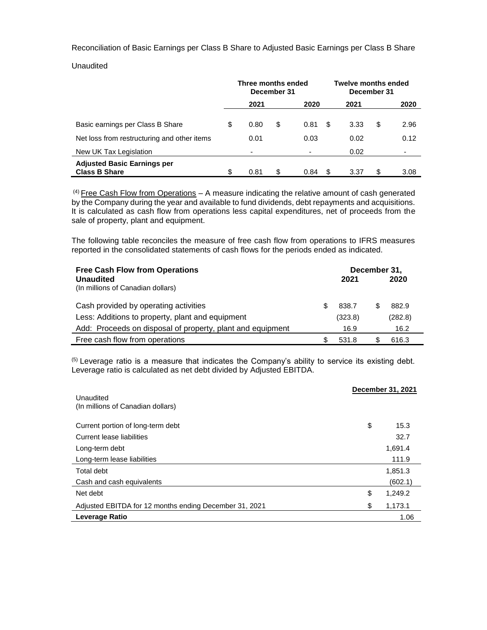Reconciliation of Basic Earnings per Class B Share to Adjusted Basic Earnings per Class B Share

**Unaudited** 

|                                                            | Three months ended<br>December 31 |      |    |      |    | <b>Twelve months ended</b><br>December 31 |    |      |  |
|------------------------------------------------------------|-----------------------------------|------|----|------|----|-------------------------------------------|----|------|--|
|                                                            |                                   | 2021 |    | 2020 |    | 2021                                      |    | 2020 |  |
| Basic earnings per Class B Share                           | \$                                | 0.80 | \$ | 0.81 | S  | 3.33                                      | \$ | 2.96 |  |
| Net loss from restructuring and other items                |                                   | 0.01 |    | 0.03 |    | 0.02                                      |    | 0.12 |  |
| New UK Tax Legislation                                     |                                   | ٠    |    |      |    | 0.02                                      |    | -    |  |
| <b>Adjusted Basic Earnings per</b><br><b>Class B Share</b> | \$                                | 0.81 | \$ | 0.84 | \$ | 3.37                                      | \$ | 3.08 |  |

 $(4)$  Free Cash Flow from Operations - A measure indicating the relative amount of cash generated by the Company during the year and available to fund dividends, debt repayments and acquisitions. It is calculated as cash flow from operations less capital expenditures, net of proceeds from the sale of property, plant and equipment.

The following table reconciles the measure of free cash flow from operations to IFRS measures reported in the consolidated statements of cash flows for the periods ended as indicated.

| <b>Free Cash Flow from Operations</b><br><b>Unaudited</b><br>(In millions of Canadian dollars) |   | 2021    | December 31,<br>2020 |  |
|------------------------------------------------------------------------------------------------|---|---------|----------------------|--|
| Cash provided by operating activities                                                          | S | 838.7   | 882.9                |  |
| Less: Additions to property, plant and equipment                                               |   | (323.8) | (282.8)              |  |
| Add: Proceeds on disposal of property, plant and equipment                                     |   | 16.9    | 16.2                 |  |
| Free cash flow from operations                                                                 |   | 531.8   | 616.3                |  |

(5) Leverage ratio is a measure that indicates the Company's ability to service its existing debt. Leverage ratio is calculated as net debt divided by Adjusted EBITDA.

| Unaudited<br>(In millions of Canadian dollars)         | December 31, 2021 |
|--------------------------------------------------------|-------------------|
| Current portion of long-term debt                      | \$<br>15.3        |
| Current lease liabilities                              | 32.7              |
| Long-term debt                                         | 1.691.4           |
| Long-term lease liabilities                            | 111.9             |
| Total debt                                             | 1,851.3           |
| Cash and cash equivalents                              | (602.1)           |
| Net debt                                               | \$<br>1,249.2     |
| Adjusted EBITDA for 12 months ending December 31, 2021 | \$<br>1,173.1     |
| Leverage Ratio                                         | 1.06              |